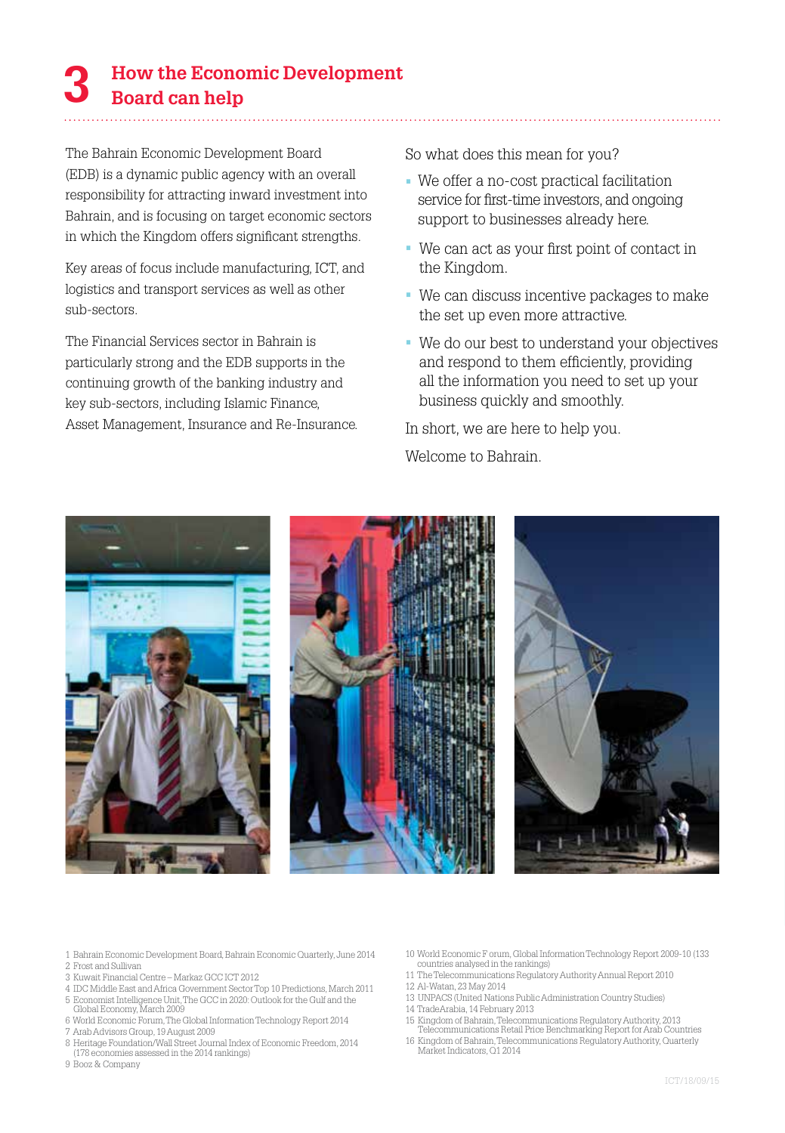# **How the Economic Development 3 Board can help**

The Bahrain Economic Development Board (EDB) is a dynamic public agency with an overall responsibility for attracting inward investment into Bahrain, and is focusing on target economic sectors in which the Kingdom offers significant strengths.

Key areas of focus include manufacturing, ICT, and logistics and transport services as well as other sub-sectors.

The Financial Services sector in Bahrain is particularly strong and the EDB supports in the continuing growth of the banking industry and key sub-sectors, including Islamic Finance, Asset Management, Insurance and Re-Insurance. So what does this mean for you?

- We offer a no-cost practical facilitation service for first-time investors, and ongoing support to businesses already here.
- We can act as your first point of contact in the Kingdom.
- We can discuss incentive packages to make the set up even more attractive.
- We do our best to understand your objectives and respond to them efficiently, providing all the information you need to set up your business quickly and smoothly.

In short, we are here to help you.

Welcome to Bahrain.



- 1 Bahrain Economic Development Board, Bahrain Economic Quarterly, June 2014 2 Frost and Sullivan
- 3 Kuwait Financial Centre Markaz GCC ICT 2012
- 4 IDC Middle East and Africa Government Sector Top 10 Predictions, March 2011
- 5 Economist Intelligence Unit, The GCC in 2020: Outlook for the Gulf and the Global Economy, March 2009
- 6 World Economic Forum, The Global Information Technology Report 2014
- 7 Arab Advisors Group, 19 August 2009
- 8 Heritage Foundation/Wall Street Journal Index of Economic Freedom, 2014 (178 economies assessed in the 2014 rankings)

9 Booz & Company

- 10 World Economic F orum, Global Information Technology Report 2009-10 (133 countries analysed in the rankings)
- 11 The Telecommunications Regulatory Authority Annual Report 2010
- 12 Al-Watan, 23 May 2014
- 13 UNPACS (United Nations Public Administration Country Studies)
- 14 TradeArabia, 14 February 2013
- 15 Kingdom of Bahrain, Telecommunications Regulatory Authority, 2013 Telecommunications Retail Price Benchmarking Report for Arab Countries
- 16 Kingdom of Bahrain, Telecommunications Regulatory Authority, Quarterly Market Indicators, Q1 2014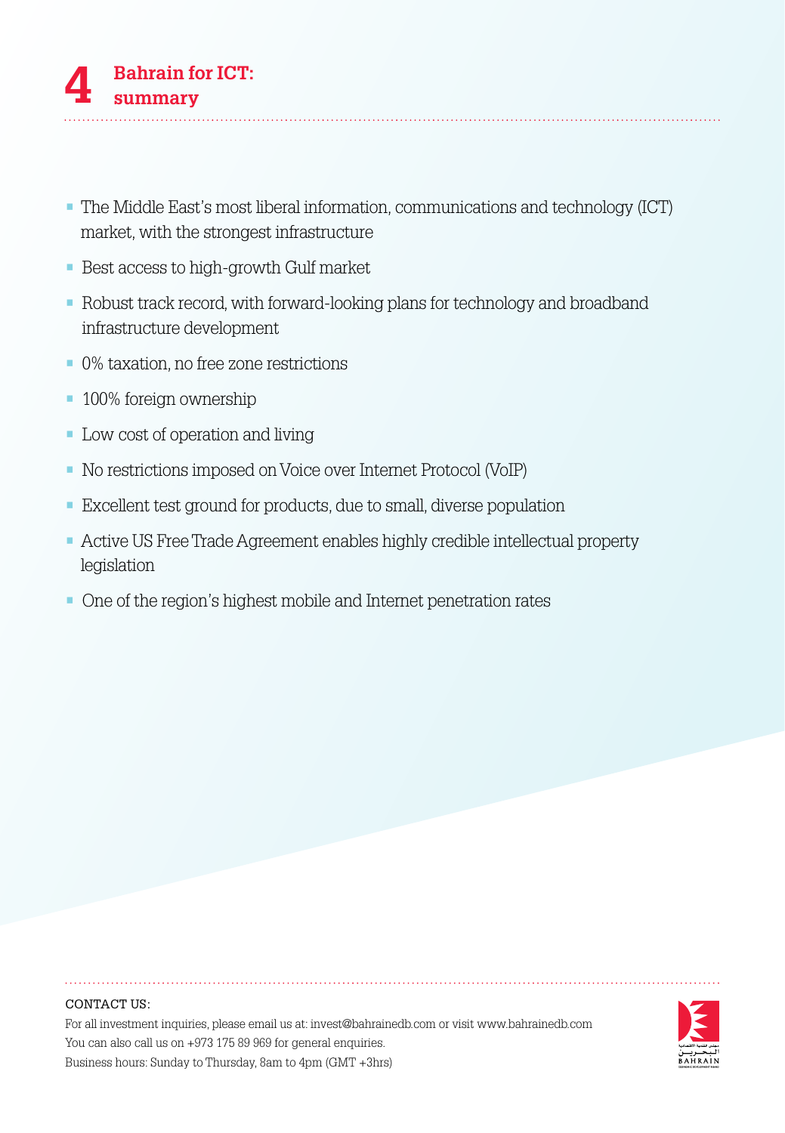- The Middle East's most liberal information, communications and technology (ICT) market, with the strongest infrastructure
- Best access to high-growth Gulf market
- Robust track record, with forward-looking plans for technology and broadband infrastructure development
- 0% taxation, no free zone restrictions
- 100% foreign ownership
- Low cost of operation and living
- No restrictions imposed on Voice over Internet Protocol (VoIP)
- Excellent test ground for products, due to small, diverse population
- Active US Free Trade Agreement enables highly credible intellectual property legislation
- One of the region's highest mobile and Internet penetration rates

### CONTACT US:

For all investment inquiries, please email us at: invest@bahrainedb.com or visit www.bahrainedb.com You can also call us on +973 175 89 969 for general enquiries. Business hours: Sunday to Thursday, 8am to 4pm (GMT +3hrs)

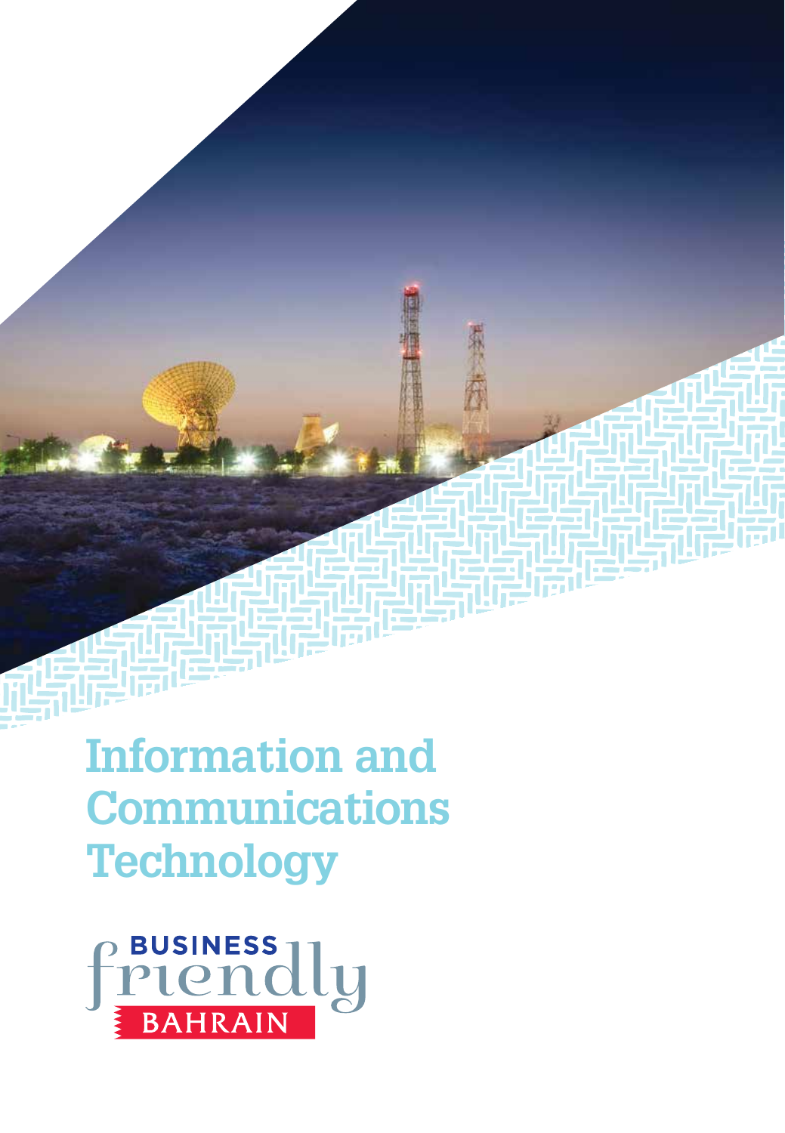**Information and Communications Technology**

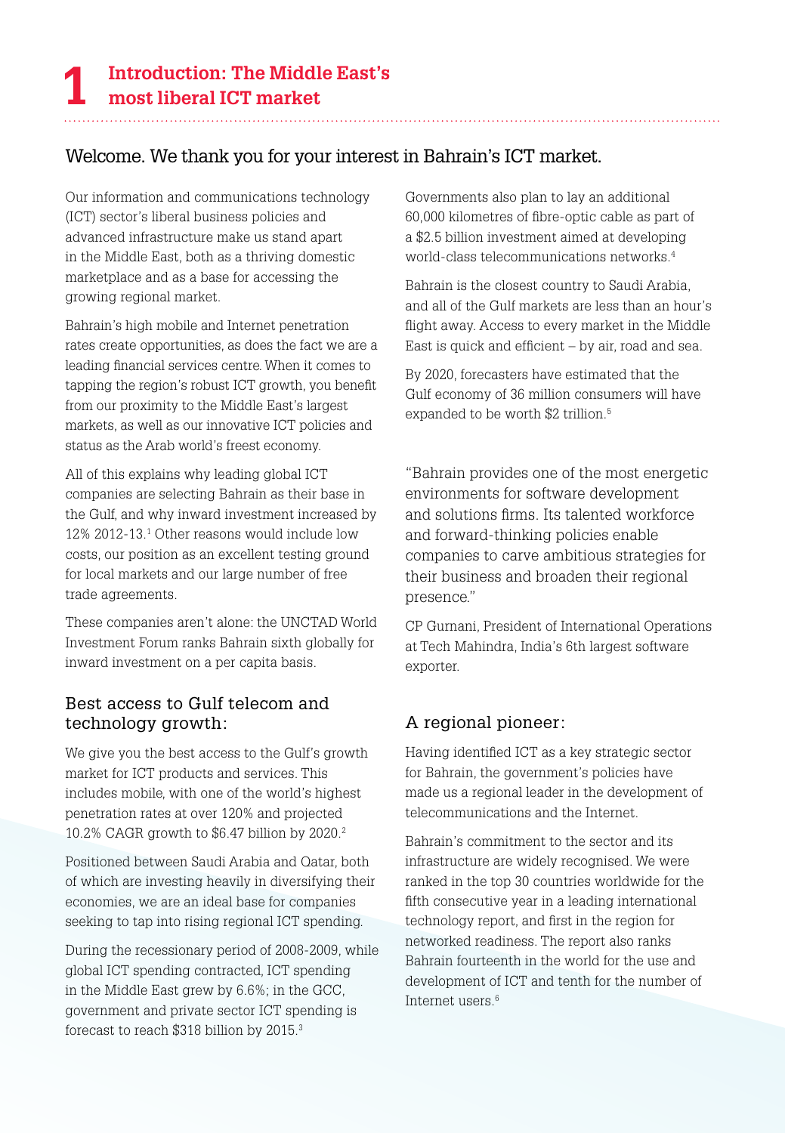# Welcome. We thank you for your interest in Bahrain's ICT market.

Our information and communications technology (ICT) sector's liberal business policies and advanced infrastructure make us stand apart in the Middle East, both as a thriving domestic marketplace and as a base for accessing the growing regional market.

Bahrain's high mobile and Internet penetration rates create opportunities, as does the fact we are a leading financial services centre. When it comes to tapping the region's robust ICT growth, you benefit from our proximity to the Middle East's largest markets, as well as our innovative ICT policies and status as the Arab world's freest economy.

All of this explains why leading global ICT companies are selecting Bahrain as their base in the Gulf, and why inward investment increased by 12% 2012-13.1 Other reasons would include low costs, our position as an excellent testing ground for local markets and our large number of free trade agreements.

These companies aren't alone: the UNCTAD World Investment Forum ranks Bahrain sixth globally for inward investment on a per capita basis.

# Best access to Gulf telecom and technology growth:

We give you the best access to the Gulf's growth market for ICT products and services. This includes mobile, with one of the world's highest penetration rates at over 120% and projected 10.2% CAGR growth to \$6.47 billion by 2020.2

Positioned between Saudi Arabia and Qatar, both of which are investing heavily in diversifying their economies, we are an ideal base for companies seeking to tap into rising regional ICT spending.

During the recessionary period of 2008-2009, while global ICT spending contracted, ICT spending in the Middle East grew by 6.6%; in the GCC, government and private sector ICT spending is forecast to reach \$318 billion by 2015.3

Governments also plan to lay an additional 60,000 kilometres of fibre-optic cable as part of a \$2.5 billion investment aimed at developing world-class telecommunications networks.4

Bahrain is the closest country to Saudi Arabia, and all of the Gulf markets are less than an hour's flight away. Access to every market in the Middle East is quick and efficient – by air, road and sea.

By 2020, forecasters have estimated that the Gulf economy of 36 million consumers will have expanded to be worth \$2 trillion.<sup>5</sup>

"Bahrain provides one of the most energetic environments for software development and solutions firms. Its talented workforce and forward-thinking policies enable companies to carve ambitious strategies for their business and broaden their regional presence."

CP Gurnani, President of International Operations at Tech Mahindra, India's 6th largest software exporter.

# A regional pioneer:

Having identified ICT as a key strategic sector for Bahrain, the government's policies have made us a regional leader in the development of telecommunications and the Internet.

Bahrain's commitment to the sector and its infrastructure are widely recognised. We were ranked in the top 30 countries worldwide for the fifth consecutive year in a leading international technology report, and first in the region for networked readiness. The report also ranks Bahrain fourteenth in the world for the use and development of ICT and tenth for the number of Internet users.6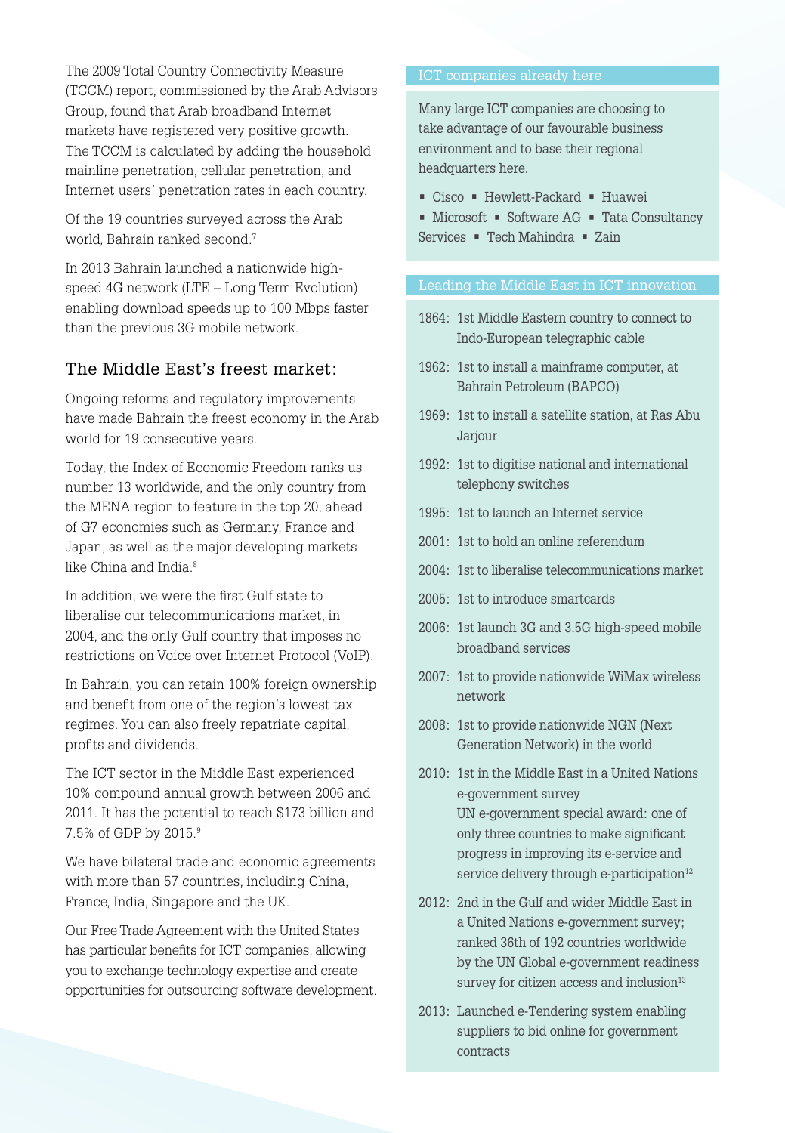The 2009 Total Country Connectivity Measure (TCCM) report, commissioned by the Arab Advisors Group, found that Arab broadband Internet markets have registered very positive growth. The TCCM is calculated by adding the household mainline penetration, cellular penetration, and Internet users' penetration rates in each country.

Of the 19 countries surveyed across the Arab world, Bahrain ranked second.7

In 2013 Bahrain launched a nationwide highspeed 4G network (LTE – Long Term Evolution) enabling download speeds up to 100 Mbps faster than the previous 3G mobile network.

# The Middle East's freest market:

Ongoing reforms and regulatory improvements have made Bahrain the freest economy in the Arab world for 19 consecutive years.

Today, the Index of Economic Freedom ranks us number 13 worldwide, and the only country from the MENA region to feature in the top 20, ahead of G7 economies such as Germany, France and Japan, as well as the major developing markets like China and India.<sup>8</sup>

In addition, we were the first Gulf state to liberalise our telecommunications market, in 2004, and the only Gulf country that imposes no restrictions on Voice over Internet Protocol (VoIP).

In Bahrain, you can retain 100% foreign ownership and benefit from one of the region's lowest tax regimes. You can also freely repatriate capital, profits and dividends.

The ICT sector in the Middle East experienced 10% compound annual growth between 2006 and 2011. It has the potential to reach \$173 billion and 7.5% of GDP by 2015.9

We have bilateral trade and economic agreements with more than 57 countries, including China, France, India, Singapore and the UK.

Our Free Trade Agreement with the United States has particular benefits for ICT companies, allowing you to exchange technology expertise and create opportunities for outsourcing software development.

Many large ICT companies are choosing to take advantage of our favourable business environment and to base their regional headquarters here.

- Cisco Hewlett-Packard Huawei
- Microsoft Software AG Tata Consultancy Services • Tech Mahindra • Zain

#### Leading the Middle East in ICT innovation

- 1864: 1st Middle Eastern country to connect to Indo-European telegraphic cable
- 1962: 1st to install a mainframe computer, at Bahrain Petroleum (BAPCO)
- 1969: 1st to install a satellite station, at Ras Abu Jarjour
- 1992: 1st to digitise national and international telephony switches
- 1995: 1st to launch an Internet service
- 2001: 1st to hold an online referendum
- 2004: 1st to liberalise telecommunications market
- 2005: 1st to introduce smartcards
- 2006: 1st launch 3G and 3.5G high-speed mobile broadband services
- 2007: 1st to provide nationwide WiMax wireless network
- 2008: 1st to provide nationwide NGN (Next Generation Network) in the world
- 2010: 1st in the Middle East in a United Nations e-government survey UN e-government special award: one of only three countries to make significant progress in improving its e-service and service delivery through e-participation<sup>12</sup>
- 2012: 2nd in the Gulf and wider Middle East in a United Nations e-government survey; ranked 36th of 192 countries worldwide by the UN Global e-government readiness survey for citizen access and inclusion<sup>13</sup>
- 2013: Launched e-Tendering system enabling suppliers to bid online for government contracts